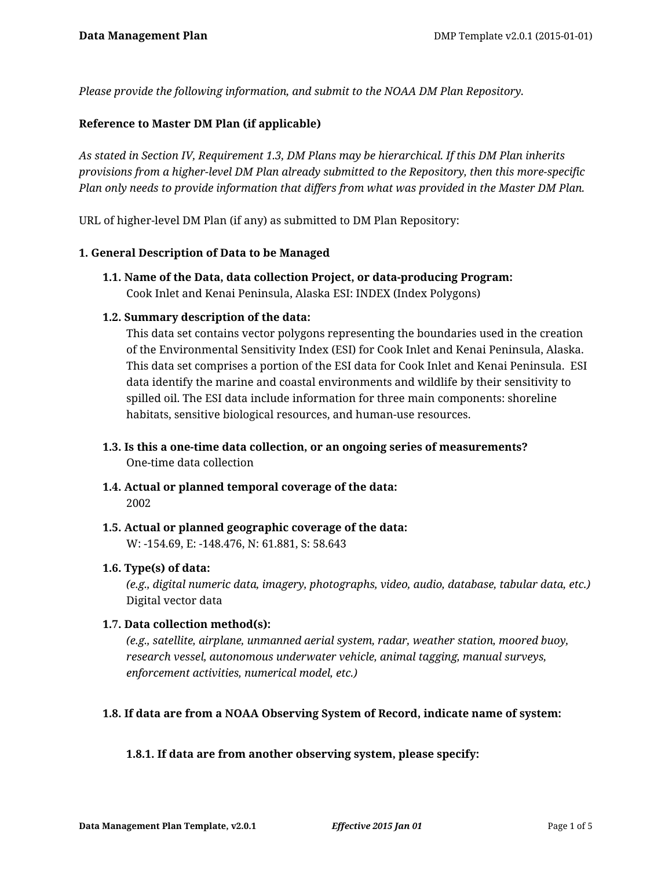*Please provide the following information, and submit to the NOAA DM Plan Repository.*

## **Reference to Master DM Plan (if applicable)**

*As stated in Section IV, Requirement 1.3, DM Plans may be hierarchical. If this DM Plan inherits provisions from a higher-level DM Plan already submitted to the Repository, then this more-specific Plan only needs to provide information that differs from what was provided in the Master DM Plan.*

URL of higher-level DM Plan (if any) as submitted to DM Plan Repository:

#### **1. General Description of Data to be Managed**

**1.1. Name of the Data, data collection Project, or data-producing Program:** Cook Inlet and Kenai Peninsula, Alaska ESI: INDEX (Index Polygons)

### **1.2. Summary description of the data:**

This data set contains vector polygons representing the boundaries used in the creation of the Environmental Sensitivity Index (ESI) for Cook Inlet and Kenai Peninsula, Alaska. This data set comprises a portion of the ESI data for Cook Inlet and Kenai Peninsula. ESI data identify the marine and coastal environments and wildlife by their sensitivity to spilled oil. The ESI data include information for three main components: shoreline habitats, sensitive biological resources, and human-use resources.

- **1.3. Is this a one-time data collection, or an ongoing series of measurements?** One-time data collection
- **1.4. Actual or planned temporal coverage of the data:** 2002
- **1.5. Actual or planned geographic coverage of the data:** W: -154.69, E: -148.476, N: 61.881, S: 58.643

#### **1.6. Type(s) of data:**

*(e.g., digital numeric data, imagery, photographs, video, audio, database, tabular data, etc.)* Digital vector data

#### **1.7. Data collection method(s):**

*(e.g., satellite, airplane, unmanned aerial system, radar, weather station, moored buoy, research vessel, autonomous underwater vehicle, animal tagging, manual surveys, enforcement activities, numerical model, etc.)*

#### **1.8. If data are from a NOAA Observing System of Record, indicate name of system:**

## **1.8.1. If data are from another observing system, please specify:**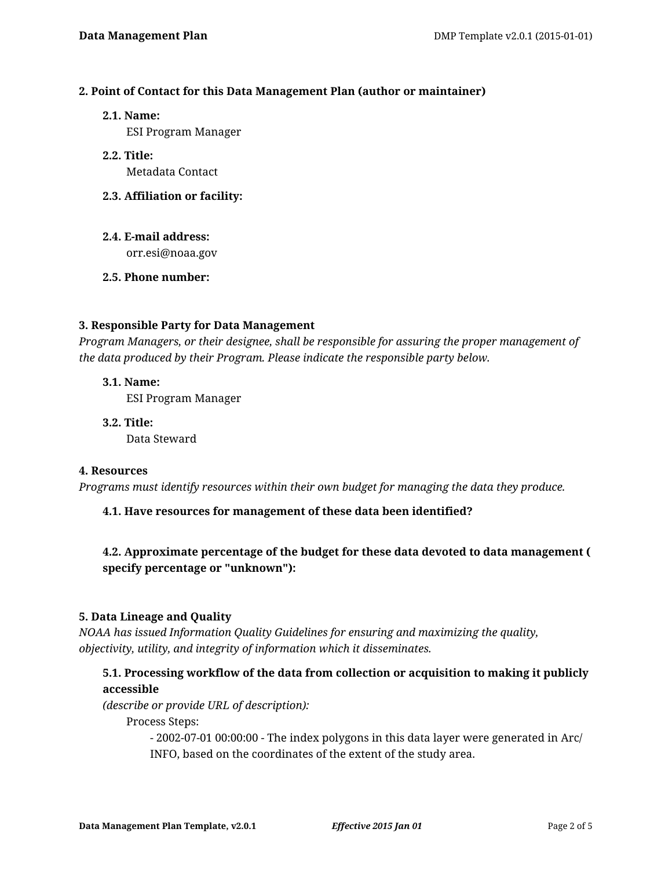## **2. Point of Contact for this Data Management Plan (author or maintainer)**

**2.1. Name:**

ESI Program Manager

- **2.2. Title:** Metadata Contact
- **2.3. Affiliation or facility:**
- **2.4. E-mail address:** orr.esi@noaa.gov
- **2.5. Phone number:**

### **3. Responsible Party for Data Management**

*Program Managers, or their designee, shall be responsible for assuring the proper management of the data produced by their Program. Please indicate the responsible party below.*

### **3.1. Name:**

ESI Program Manager

**3.2. Title:** Data Steward

### **4. Resources**

*Programs must identify resources within their own budget for managing the data they produce.*

## **4.1. Have resources for management of these data been identified?**

# **4.2. Approximate percentage of the budget for these data devoted to data management ( specify percentage or "unknown"):**

#### **5. Data Lineage and Quality**

*NOAA has issued Information Quality Guidelines for ensuring and maximizing the quality, objectivity, utility, and integrity of information which it disseminates.*

## **5.1. Processing workflow of the data from collection or acquisition to making it publicly accessible**

*(describe or provide URL of description):*

Process Steps:

- 2002-07-01 00:00:00 - The index polygons in this data layer were generated in Arc/ INFO, based on the coordinates of the extent of the study area.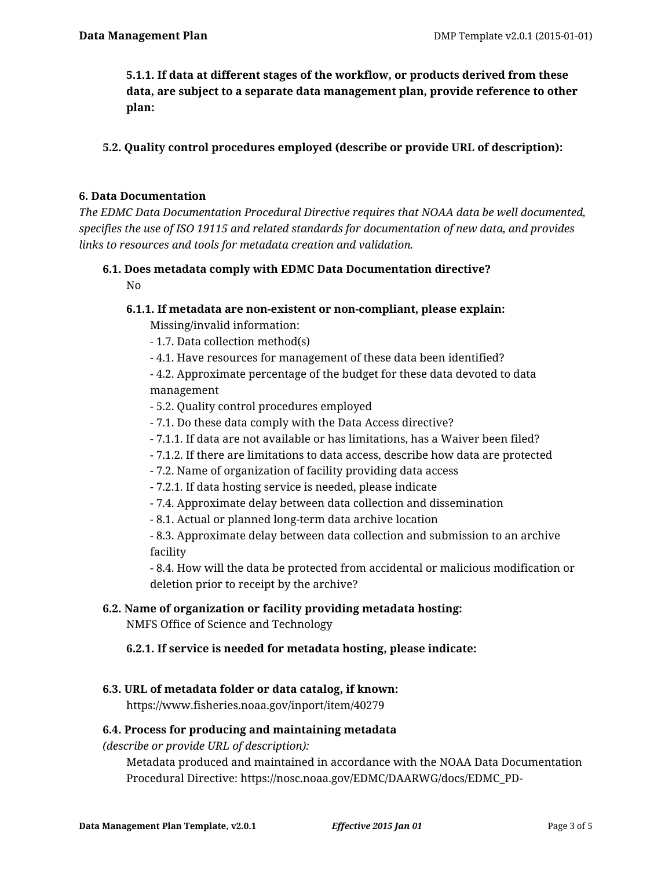**5.1.1. If data at different stages of the workflow, or products derived from these data, are subject to a separate data management plan, provide reference to other plan:**

**5.2. Quality control procedures employed (describe or provide URL of description):**

### **6. Data Documentation**

*The EDMC Data Documentation Procedural Directive requires that NOAA data be well documented, specifies the use of ISO 19115 and related standards for documentation of new data, and provides links to resources and tools for metadata creation and validation.*

#### **6.1. Does metadata comply with EDMC Data Documentation directive?** No

**6.1.1. If metadata are non-existent or non-compliant, please explain:**

Missing/invalid information:

- 1.7. Data collection method(s)
- 4.1. Have resources for management of these data been identified?

- 4.2. Approximate percentage of the budget for these data devoted to data management

- 5.2. Quality control procedures employed
- 7.1. Do these data comply with the Data Access directive?
- 7.1.1. If data are not available or has limitations, has a Waiver been filed?
- 7.1.2. If there are limitations to data access, describe how data are protected
- 7.2. Name of organization of facility providing data access
- 7.2.1. If data hosting service is needed, please indicate
- 7.4. Approximate delay between data collection and dissemination
- 8.1. Actual or planned long-term data archive location

- 8.3. Approximate delay between data collection and submission to an archive facility

- 8.4. How will the data be protected from accidental or malicious modification or deletion prior to receipt by the archive?

## **6.2. Name of organization or facility providing metadata hosting:**

NMFS Office of Science and Technology

## **6.2.1. If service is needed for metadata hosting, please indicate:**

#### **6.3. URL of metadata folder or data catalog, if known:**

https://www.fisheries.noaa.gov/inport/item/40279

#### **6.4. Process for producing and maintaining metadata**

*(describe or provide URL of description):*

Metadata produced and maintained in accordance with the NOAA Data Documentation Procedural Directive: https://nosc.noaa.gov/EDMC/DAARWG/docs/EDMC\_PD-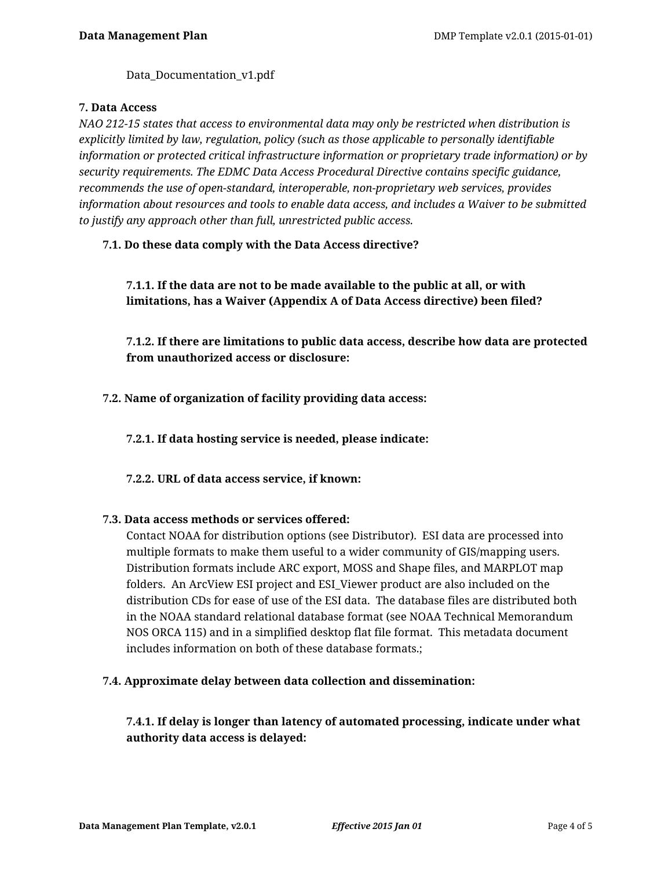Data Documentation v1.pdf

### **7. Data Access**

*NAO 212-15 states that access to environmental data may only be restricted when distribution is explicitly limited by law, regulation, policy (such as those applicable to personally identifiable information or protected critical infrastructure information or proprietary trade information) or by security requirements. The EDMC Data Access Procedural Directive contains specific guidance, recommends the use of open-standard, interoperable, non-proprietary web services, provides information about resources and tools to enable data access, and includes a Waiver to be submitted to justify any approach other than full, unrestricted public access.*

## **7.1. Do these data comply with the Data Access directive?**

# **7.1.1. If the data are not to be made available to the public at all, or with limitations, has a Waiver (Appendix A of Data Access directive) been filed?**

**7.1.2. If there are limitations to public data access, describe how data are protected from unauthorized access or disclosure:**

**7.2. Name of organization of facility providing data access:**

**7.2.1. If data hosting service is needed, please indicate:**

**7.2.2. URL of data access service, if known:**

#### **7.3. Data access methods or services offered:**

Contact NOAA for distribution options (see Distributor). ESI data are processed into multiple formats to make them useful to a wider community of GIS/mapping users. Distribution formats include ARC export, MOSS and Shape files, and MARPLOT map folders. An ArcView ESI project and ESI\_Viewer product are also included on the distribution CDs for ease of use of the ESI data. The database files are distributed both in the NOAA standard relational database format (see NOAA Technical Memorandum NOS ORCA 115) and in a simplified desktop flat file format. This metadata document includes information on both of these database formats.;

## **7.4. Approximate delay between data collection and dissemination:**

**7.4.1. If delay is longer than latency of automated processing, indicate under what authority data access is delayed:**